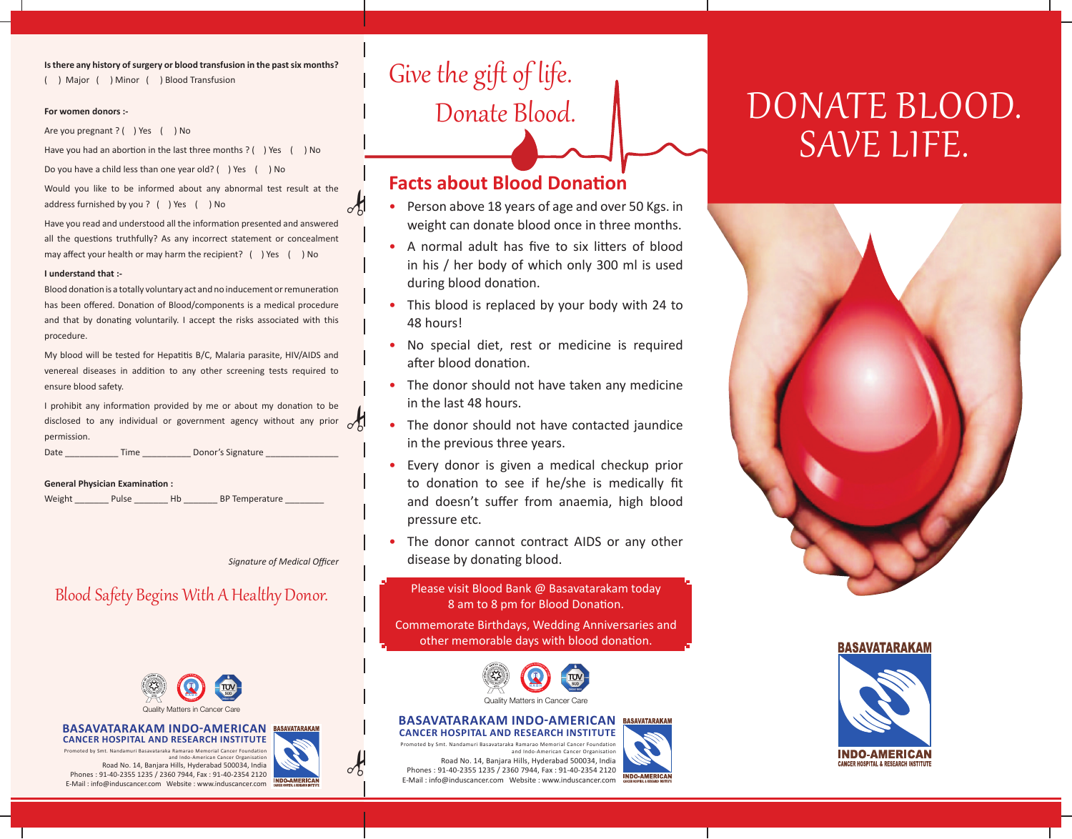**Is there any history of surgery or blood transfusion in the past six months?**

( ) Major ( ) Minor ( ) Blood Transfusion

#### **For women donors :-**

Are you pregnant ? ( ) Yes ( ) No

Have you had an abortion in the last three months ? ( ) Yes ( ) No

Do you have a child less than one year old? ( ) Yes ( ) No

Would you like to be informed about any abnormal test result at the address furnished by you ? ( ) Yes ( ) No

Have you read and understood all the information presented and answered all the questions truthfully? As any incorrect statement or concealment may affect your health or may harm the recipient? () Yes () No

#### **I understand that :-**

Blood donation is a totally voluntary act and no inducement or remuneration has been offered. Donation of Blood/components is a medical procedure and that by donating voluntarily. I accept the risks associated with this procedure.

My blood will be tested for Hepatitis B/C, Malaria parasite, HIV/AIDS and venereal diseases in addition to any other screening tests required to ensure blood safety.

I prohibit any information provided by me or about my donation to be  $d$  promote any information provided by me or about my donation to be disclosed to any individual or government agency without any prior  $\mathcal{L}$ permission.

Date **Date** Time Donor's Signature

#### **General Physician Examination :**

Weight \_\_\_\_\_\_\_\_\_ Pulse \_\_\_\_\_\_\_\_ Hb \_\_\_\_\_\_\_ BP Temperature

*Signature of Medical Officer*

## Blood Safety Begins With A Healthy Donor.



#### **Basavatarakam Indo-American BASAVATARAKAN Cancer Hospital and Research Institute**

Promoted by Smt. Nandamuri Basavataraka Ramarao Memorial Cancer Foundation and Indo-American Cancer Organisation

Road No. 14, Banjara Hills, Hyderabad 500034, India Phones : 91-40-2355 1235 / 2360 7944, Fax : 91-40-2354 2120 E-Mail : info@induscancer.com Website : www.induscancer.com

# Give the gift of life. Donate Blood.

## **Facts about Blood Donation**

- Person above 18 years of age and over 50 Kgs. in weight can donate blood once in three months.
- A normal adult has five to six litters of blood in his / her body of which only 300 ml is used during blood donation.
- This blood is replaced by your body with 24 to 48 hours!
- No special diet, rest or medicine is required after blood donation.
- The donor should not have taken any medicine in the last 48 hours.
- The donor should not have contacted jaundice in the previous three years.
- Every donor is given a medical checkup prior to donation to see if he/she is medically fit and doesn't suffer from anaemia, high blood pressure etc.
- The donor cannot contract AIDS or any other disease by donating blood.

Please visit Blood Bank @ Basavatarakam today 8 am to 8 pm for Blood Donation.

Commemorate Birthdays, Wedding Anniversaries and other memorable days with blood donation.



#### **Basavatarakam Indo-American BASAVATARAKAM Cancer Hospital and Research Institute**

**INDO-AMERICA** 

Promoted by Smt. Nandamuri Basavataraka Ramarao Memorial Cancer Foundation and Indo-American Cancer Organisation Road No. 14, Banjara Hills, Hyderabad 500034, India Phones : 91-40-2355 1235 / 2360 7944, Fax : 91-40-2354 2120 E-Mail : info@induscancer.com Website : www.induscancer.com

# DONATE BLOOD. save life.



#### **BASAVATARAKAM**







 $\frac{1}{2}$